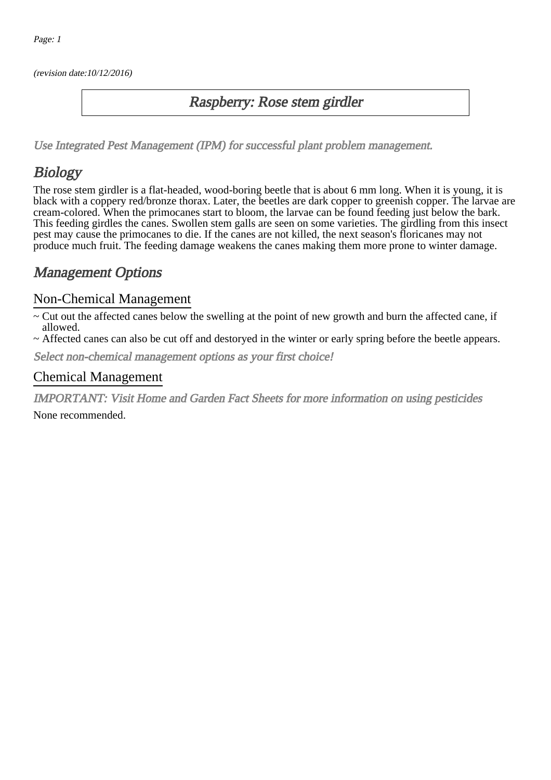(revision date:10/12/2016)

#### Raspberry: Rose stem girdler

[Use Integrated Pest Management \(IPM\) for successful plant problem management.](http://pep.wsu.edu/Home_Garden/H_G_Pesticide_info/urban_Integrated_Pest_Managmen/)

# Biology

The rose stem girdler is a flat-headed, wood-boring beetle that is about 6 mm long. When it is young, it is black with a coppery red/bronze thorax. Later, the beetles are dark copper to greenish copper. The larvae are cream-colored. When the primocanes start to bloom, the larvae can be found feeding just below the bark. This feeding girdles the canes. Swollen stem galls are seen on some varieties. The girdling from this insect pest may cause the primocanes to die. If the canes are not killed, the next season's floricanes may not produce much fruit. The feeding damage weakens the canes making them more prone to winter damage.

### Management Options

#### Non-Chemical Management

- ~ Cut out the affected canes below the swelling at the point of new growth and burn the affected cane, if allowed.
- ~ Affected canes can also be cut off and destoryed in the winter or early spring before the beetle appears.

Select non-chemical management options as your first choice!

#### Chemical Management

IMPORTANT: [Visit Home and Garden Fact Sheets for more information on using pesticides](http://pep.wsu.edu/Home_Garden/H_G_Pesticide_info/)

None recommended.